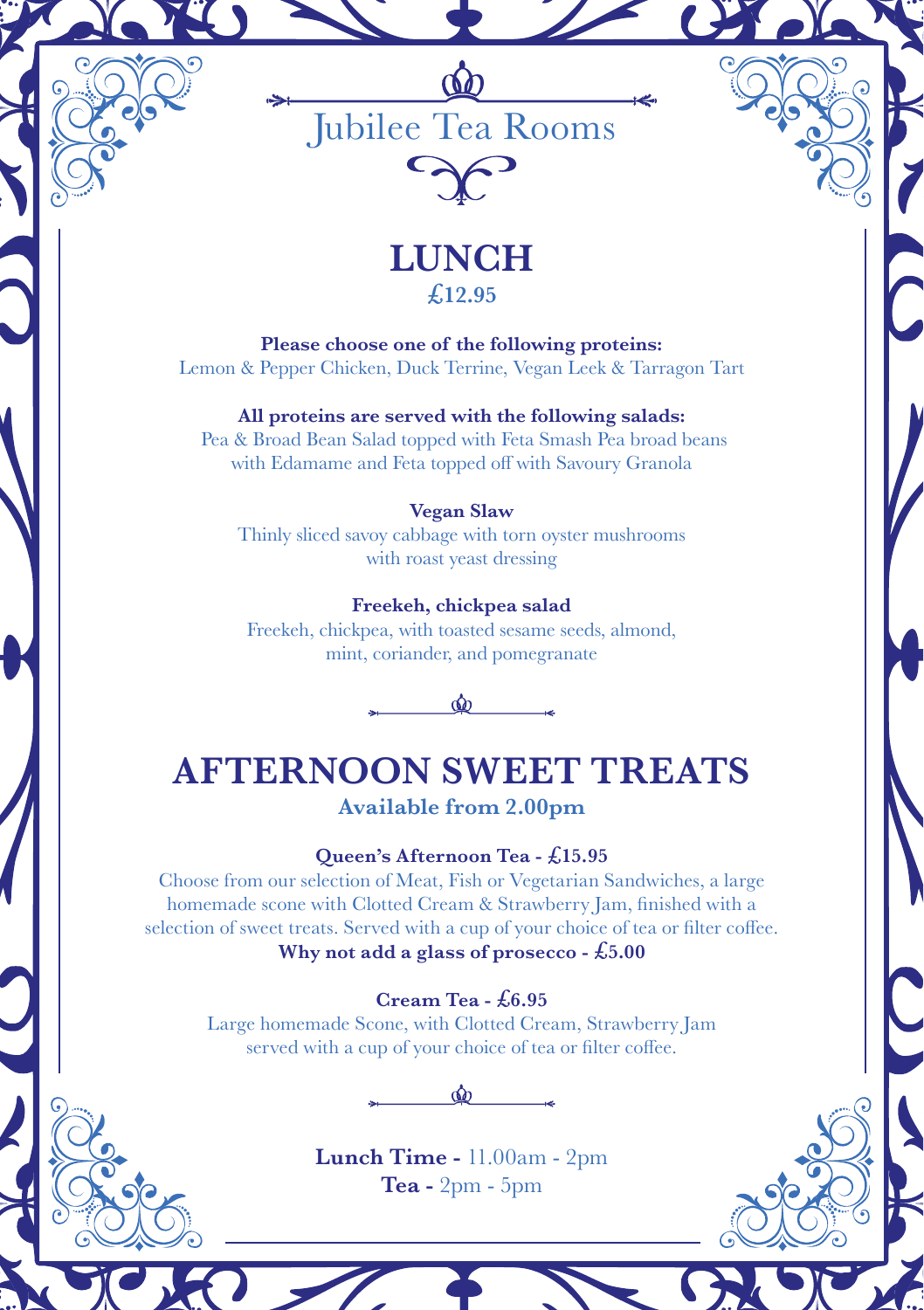

## **LUNCH £12.95**

**Please choose one of the following proteins:** Lemon & Pepper Chicken, Duck Terrine, Vegan Leek & Tarragon Tart

**All proteins are served with the following salads:** Pea & Broad Bean Salad topped with Feta Smash Pea broad beans with Edamame and Feta topped off with Savoury Granola

### **Vegan Slaw**

Thinly sliced savoy cabbage with torn oyster mushrooms with roast yeast dressing

### **Freekeh, chickpea salad**

Freekeh, chickpea, with toasted sesame seeds, almond, mint, coriander, and pomegranate



## **AFTERNOON SWEET TREATS**

## **Available from 2.00pm**

### **Queen's Afternoon Tea - £15.95**

Choose from our selection of Meat, Fish or Vegetarian Sandwiches, a large homemade scone with Clotted Cream & Strawberry Jam, finished with a selection of sweet treats. Served with a cup of your choice of tea or filter coffee. **Why not add a glass of prosecco - £5.00**

### **Cream Tea - £6.95**

Large homemade Scone, with Clotted Cream, Strawberry Jam served with a cup of your choice of tea or filter coffee.



**Lunch Time -** 11.00am - 2pm **Tea -** 2pm - 5pm